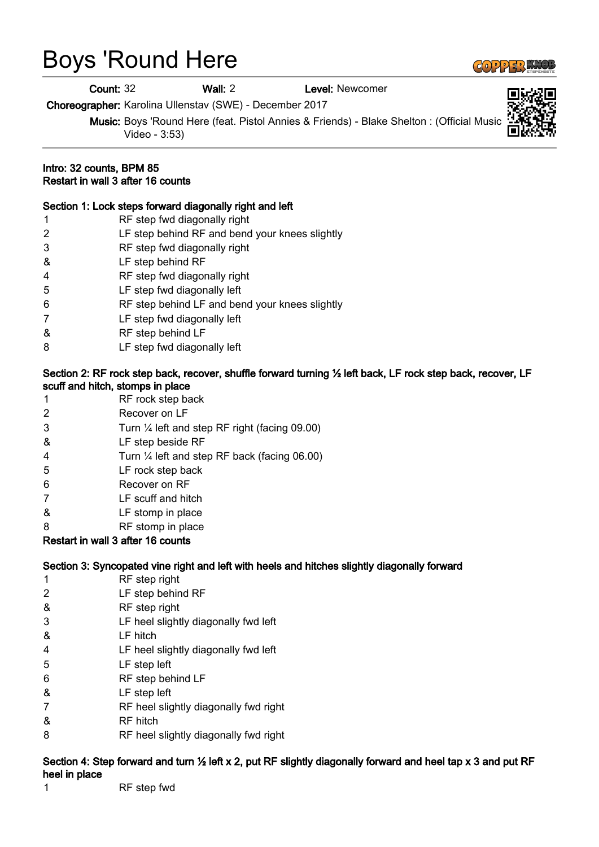# Boys 'Round Here

Count: 32 Wall: 2 Level: Newcomer

Choreographer: Karolina Ullenstav (SWE) - December 2017

Music: Boys 'Round Here (feat. Pistol Annies & Friends) - Blake Shelton : (Official Music Video - 3:53)

#### Intro: 32 counts, BPM 85 Restart in wall 3 after 16 counts

#### Section 1: Lock steps forward diagonally right and left

 RF step fwd diagonally right LF step behind RF and bend your knees slightly RF step fwd diagonally right & LF step behind RF RF step fwd diagonally right LF step fwd diagonally left RF step behind LF and bend your knees slightly LF step fwd diagonally left & RF step behind LF LF step fwd diagonally left

#### Section 2: RF rock step back, recover, shuffle forward turning ½ left back, LF rock step back, recover, LF scuff and hitch, stomps in place

- 1 RF rock step back 2 Recover on LF 3 Turn ¼ left and step RF right (facing 09.00) & LF step beside RF 4 Turn ¼ left and step RF back (facing 06.00)
- 5 LF rock step back
- 6 Recover on RF
- 7 LF scuff and hitch
- & LF stomp in place
- 8 RF stomp in place

## Restart in wall 3 after 16 counts

#### Section 3: Syncopated vine right and left with heels and hitches slightly diagonally forward

- 1 RF step right
- 2 LF step behind RF
- & RF step right
- 3 LF heel slightly diagonally fwd left
- & LF hitch
- 4 LF heel slightly diagonally fwd left
- 5 LF step left
- 6 RF step behind LF
- & LF step left
- 7 RF heel slightly diagonally fwd right
- & RF hitch
- 8 RF heel slightly diagonally fwd right

### Section 4: Step forward and turn 1/2 left x 2, put RF slightly diagonally forward and heel tap x 3 and put RF heel in place

1 RF step fwd



 $\left(\frac{1}{2}\right)$  and  $\left(\frac{1}{2}\right)$